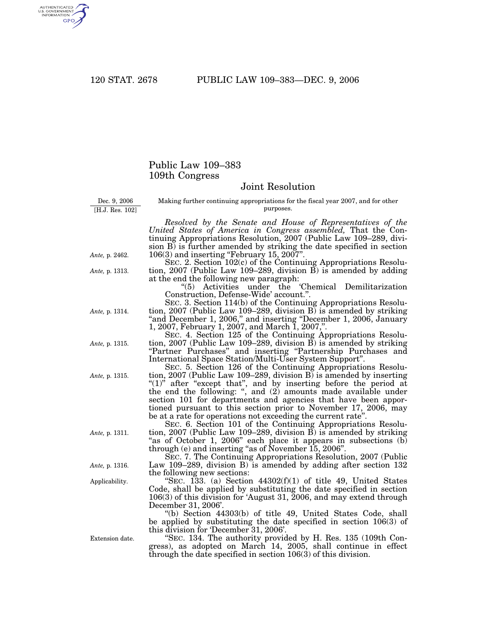AUTHENTICATED<br>U.S. GOVERNMENT<br>INFORMATION **GPO** 

## Public Law 109–383 109th Congress

## Joint Resolution

Dec. 9, 2006 [H.J. Res. 102]

Making further continuing appropriations for the fiscal year 2007, and for other purposes. *Resolved by the Senate and House of Representatives of the*

*United States of America in Congress assembled,* That the Continuing Appropriations Resolution, 2007 (Public Law 109–289, division B) is further amended by striking the date specified in section 106(3) and inserting ''February 15, 2007''.

SEC. 2. Section 102(c) of the Continuing Appropriations Resolution, 2007 (Public Law 109–289, division B) is amended by adding at the end the following new paragraph:

''(5) Activities under the 'Chemical Demilitarization Construction, Defense-Wide' account.''.

SEC. 3. Section 114(b) of the Continuing Appropriations Resolution, 2007 (Public Law 109–289, division B) is amended by striking ''and December 1, 2006,'' and inserting ''December 1, 2006, January 1, 2007, February 1, 2007, and March 1, 2007,''.

SEC. 4. Section 125 of the Continuing Appropriations Resolution, 2007 (Public Law 109–289, division B) is amended by striking ''Partner Purchases'' and inserting ''Partnership Purchases and International Space Station/Multi-User System Support''.

SEC. 5. Section 126 of the Continuing Appropriations Resolution, 2007 (Public Law 109–289, division B) is amended by inserting "(1)" after "except that", and by inserting before the period at the end the following: '', and (2) amounts made available under section 101 for departments and agencies that have been apportioned pursuant to this section prior to November 17, 2006, may be at a rate for operations not exceeding the current rate''.

SEC. 6. Section 101 of the Continuing Appropriations Resolution, 2007 (Public Law 109–289, division B) is amended by striking "as of October 1, 2006" each place it appears in subsections (b) through (e) and inserting ''as of November 15, 2006''.

SEC. 7. The Continuing Appropriations Resolution, 2007 (Public Law 109–289, division B) is amended by adding after section 132 the following new sections:

"SEC. 133. (a) Section  $44302(f)(1)$  of title 49, United States Code, shall be applied by substituting the date specified in section 106(3) of this division for 'August 31, 2006, and may extend through December 31, 2006'.

''(b) Section 44303(b) of title 49, United States Code, shall be applied by substituting the date specified in section 106(3) of this division for 'December 31, 2006'.

''SEC. 134. The authority provided by H. Res. 135 (109th Congress), as adopted on March 14, 2005, shall continue in effect through the date specified in section 106(3) of this division.

*Ante,* p. 2462.

*Ante,* p. 1313.

*Ante,* p. 1314.

*Ante,* p. 1315.

*Ante,* p. 1315.

*Ante,* p. 1311.

*Ante,* p. 1316.

Applicability.

Extension date.